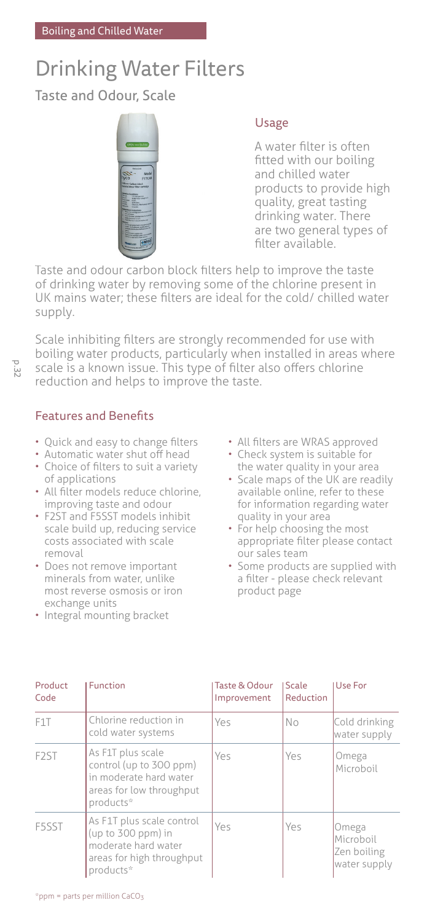# Drinking Water Filters

Taste and Odour, Scale



## Usage

A water filter is often fitted with our boiling and chilled water products to provide high quality, great tasting drinking water. There are two general types of filter available.

Taste and odour carbon block filters help to improve the taste of drinking water by removing some of the chlorine present in UK mains water; these filters are ideal for the cold/ chilled water supply.

Scale inhibiting filters are strongly recommended for use with boiling water products, particularly when installed in areas where scale is a known issue. This type of filter also offers chlorine reduction and helps to improve the taste.

# Features and Benefits

- Quick and easy to change filters
- Automatic water shut off head
- Choice of filters to suit a variety of applications
- All filter models reduce chlorine, improving taste and odour
- F2ST and F5SST models inhibit scale build up, reducing service costs associated with scale removal
- Does not remove important minerals from water, unlike most reverse osmosis or iron exchange units
- Integral mounting bracket
- All filters are WRAS approved
- Check system is suitable for the water quality in your area
- Scale maps of the UK are readily available online, refer to these for information regarding water quality in your area
- For help choosing the most appropriate filter please contact our sales team
- Some products are supplied with a filter - please check relevant product page

| Product<br>Code   | Function                                                                                                         | Taste & Odour<br>Improvement | Scale<br>Reduction | Use For                                           |
|-------------------|------------------------------------------------------------------------------------------------------------------|------------------------------|--------------------|---------------------------------------------------|
| F <sub>1</sub> T  | Chlorine reduction in<br>cold water systems                                                                      | Yes                          | No                 | Cold drinking<br>water supply                     |
| F <sub>2</sub> ST | As F1T plus scale<br>control (up to 300 ppm)<br>in moderate hard water<br>areas for low throughput<br>products*  | Yes                          | Yes                | Omega<br>Microboil                                |
| F5SST             | As F1T plus scale control<br>(up to 300 ppm) in<br>moderate hard water<br>areas for high throughput<br>products* | Yes                          | Yes                | Omega<br>Microboil<br>Zen boiling<br>water supply |